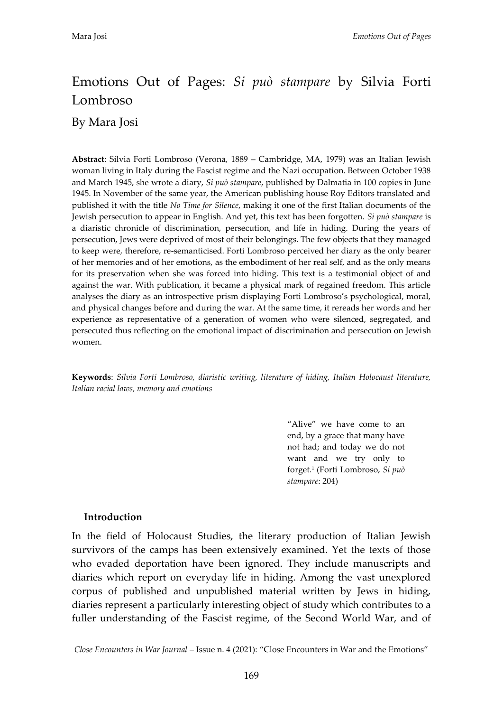# Emotions Out of Pages: *Si può stampare* by Silvia Forti Lombroso

By Mara Josi

**Abstract**: Silvia Forti Lombroso (Verona, 1889 – Cambridge, MA, 1979) was an Italian Jewish woman living in Italy during the Fascist regime and the Nazi occupation. Between October 1938 and March 1945, she wrote a diary, *Si può stampare*, published by Dalmatia in 100 copies in June 1945. In November of the same year, the American publishing house Roy Editors translated and published it with the title *No Time for Silence*, making it one of the first Italian documents of the Jewish persecution to appear in English. And yet, this text has been forgotten. *Si può stampare* is a diaristic chronicle of discrimination, persecution, and life in hiding. During the years of persecution, Jews were deprived of most of their belongings. The few objects that they managed to keep were, therefore, re-semanticised. Forti Lombroso perceived her diary as the only bearer of her memories and of her emotions, as the embodiment of her real self, and as the only means for its preservation when she was forced into hiding. This text is a testimonial object of and against the war. With publication, it became a physical mark of regained freedom. This article analyses the diary as an introspective prism displaying Forti Lombroso's psychological, moral, and physical changes before and during the war. At the same time, it rereads her words and her experience as representative of a generation of women who were silenced, segregated, and persecuted thus reflecting on the emotional impact of discrimination and persecution on Jewish women.

**Keywords**: *Silvia Forti Lombroso, diaristic writing, literature of hiding, Italian Holocaust literature, Italian racial laws, memory and emotions*

> 'Alive' we have come to an end, by a grace that many have not had; and today we do not want and we try only to forget.<sup>1</sup> (Forti Lombroso, *Si può stampare*: 204)

## **Introduction**

In the field of Holocaust Studies, the literary production of Italian Jewish survivors of the camps has been extensively examined. Yet the texts of those who evaded deportation have been ignored. They include manuscripts and diaries which report on everyday life in hiding. Among the vast unexplored corpus of published and unpublished material written by Jews in hiding, diaries represent a particularly interesting object of study which contributes to a fuller understanding of the Fascist regime, of the Second World War, and of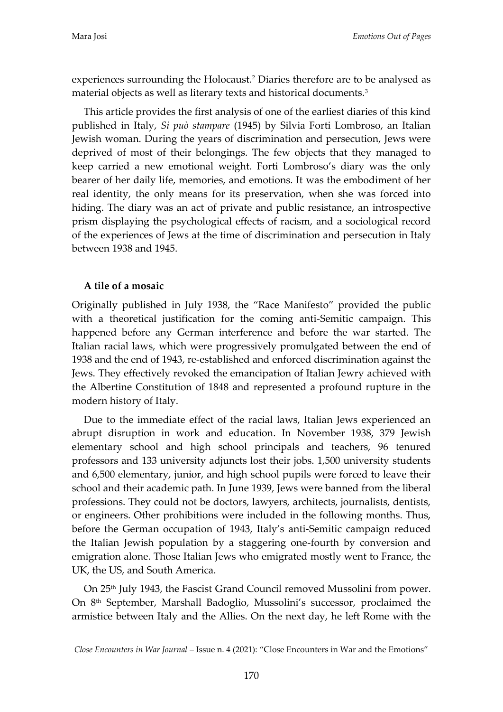experiences surrounding the Holocaust.<sup>2</sup> Diaries therefore are to be analysed as material objects as well as literary texts and historical documents.<sup>3</sup>

This article provides the first analysis of one of the earliest diaries of this kind published in Italy, *Si può stampare* (1945) by Silvia Forti Lombroso, an Italian Jewish woman. During the years of discrimination and persecution, Jews were deprived of most of their belongings. The few objects that they managed to keep carried a new emotional weight. Forti Lombroso's diary was the only bearer of her daily life, memories, and emotions. It was the embodiment of her real identity, the only means for its preservation, when she was forced into hiding. The diary was an act of private and public resistance, an introspective prism displaying the psychological effects of racism, and a sociological record of the experiences of Jews at the time of discrimination and persecution in Italy between 1938 and 1945.

## **A tile of a mosaic**

Originally published in July 1938, the 'Race Manifesto' provided the public with a theoretical justification for the coming anti-Semitic campaign. This happened before any German interference and before the war started. The Italian racial laws, which were progressively promulgated between the end of 1938 and the end of 1943, re-established and enforced discrimination against the Jews. They effectively revoked the emancipation of Italian Jewry achieved with the Albertine Constitution of 1848 and represented a profound rupture in the modern history of Italy.

Due to the immediate effect of the racial laws, Italian Jews experienced an abrupt disruption in work and education. In November 1938, 379 Jewish elementary school and high school principals and teachers, 96 tenured professors and 133 university adjuncts lost their jobs. 1,500 university students and 6,500 elementary, junior, and high school pupils were forced to leave their school and their academic path. In June 1939, Jews were banned from the liberal professions. They could not be doctors, lawyers, architects, journalists, dentists, or engineers. Other prohibitions were included in the following months. Thus, before the German occupation of 1943, Italy's anti-Semitic campaign reduced the Italian Jewish population by a staggering one-fourth by conversion and emigration alone. Those Italian Jews who emigrated mostly went to France, the UK, the US, and South America.

On 25th July 1943, the Fascist Grand Council removed Mussolini from power. On 8th September, Marshall Badoglio, Mussolini's successor, proclaimed the armistice between Italy and the Allies. On the next day, he left Rome with the

*Close Encounters in War Journal* – Issue n. 4 (2021): 'Close Encounters in War and the Emotions'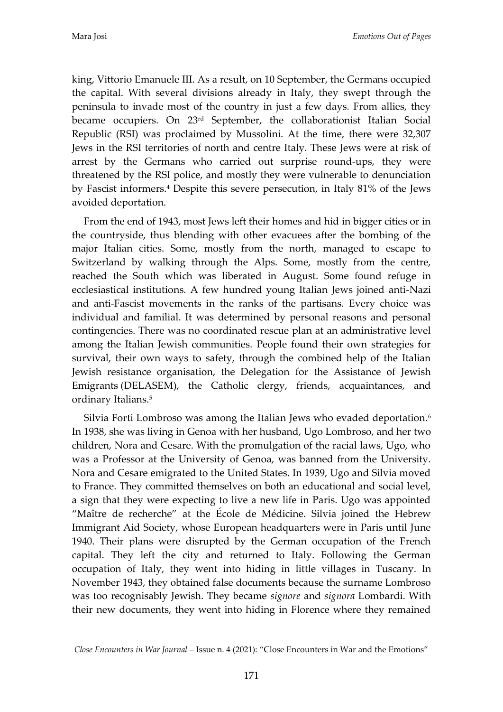king, Vittorio Emanuele III. As a result, on 10 September, the Germans occupied the capital. With several divisions already in Italy, they swept through the peninsula to invade most of the country in just a few days. From allies, they became occupiers. On 23rd September, the collaborationist Italian Social Republic (RSI) was proclaimed by Mussolini. At the time, there were 32,307 Jews in the RSI territories of north and centre Italy. These Jews were at risk of arrest by the Germans who carried out surprise round-ups, they were threatened by the RSI police, and mostly they were vulnerable to denunciation by Fascist informers.<sup>4</sup> Despite this severe persecution, in Italy 81% of the Jews avoided deportation.

From the end of 1943, most Jews left their homes and hid in bigger cities or in the countryside, thus blending with other evacuees after the bombing of the major Italian cities. Some, mostly from the north, managed to escape to Switzerland by walking through the Alps. Some, mostly from the centre, reached the South which was liberated in August. Some found refuge in ecclesiastical institutions. A few hundred young Italian Jews joined anti-Nazi and anti-Fascist movements in the ranks of the partisans. Every choice was individual and familial. It was determined by personal reasons and personal contingencies. There was no coordinated rescue plan at an administrative level among the Italian Jewish communities. People found their own strategies for survival, their own ways to safety, through the combined help of the Italian Jewish resistance organisation, the Delegation for the Assistance of Jewish Emigrants (DELASEM), the Catholic clergy, friends, acquaintances, and ordinary Italians.<sup>5</sup>

Silvia Forti Lombroso was among the Italian Jews who evaded deportation.<sup>6</sup> In 1938, she was living in Genoa with her husband, Ugo Lombroso, and her two children, Nora and Cesare. With the promulgation of the racial laws, Ugo, who was a Professor at the University of Genoa, was banned from the University. Nora and Cesare emigrated to the United States. In 1939, Ugo and Silvia moved to France. They committed themselves on both an educational and social level, a sign that they were expecting to live a new life in Paris. Ugo was appointed 'Maître de recherche' at the École de Médicine. Silvia joined the Hebrew Immigrant Aid Society, whose European headquarters were in Paris until June 1940. Their plans were disrupted by the German occupation of the French capital. They left the city and returned to Italy. Following the German occupation of Italy, they went into hiding in little villages in Tuscany. In November 1943, they obtained false documents because the surname Lombroso was too recognisably Jewish. They became *signore* and *signora* Lombardi. With their new documents, they went into hiding in Florence where they remained

*Close Encounters in War Journal* – Issue n. 4 (2021): 'Close Encounters in War and the Emotions'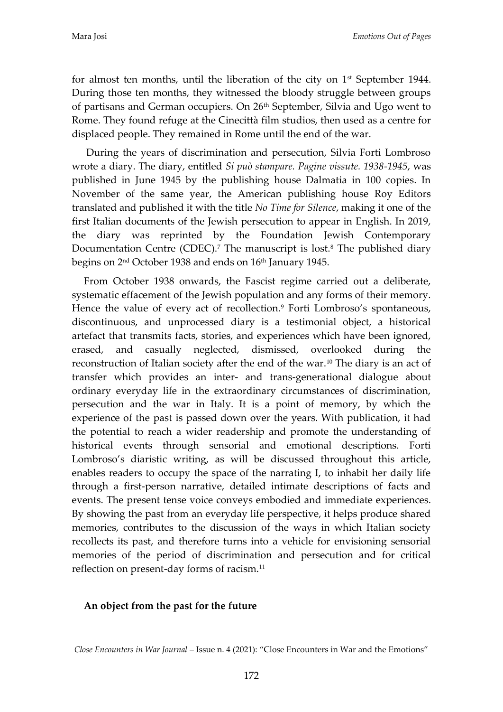for almost ten months, until the liberation of the city on  $1<sup>st</sup>$  September 1944. During those ten months, they witnessed the bloody struggle between groups of partisans and German occupiers. On 26<sup>th</sup> September, Silvia and Ugo went to Rome. They found refuge at the Cinecittà film studios, then used as a centre for displaced people. They remained in Rome until the end of the war.

During the years of discrimination and persecution, Silvia Forti Lombroso wrote a diary. The diary, entitled *Si può stampare. Pagine vissute. 1938-1945*, was published in June 1945 by the publishing house Dalmatia in 100 copies. In November of the same year, the American publishing house Roy Editors translated and published it with the title *No Time for Silence*, making it one of the first Italian documents of the Jewish persecution to appear in English. In 2019, the diary was reprinted by the Foundation Jewish Contemporary Documentation Centre (CDEC).<sup>7</sup> The manuscript is lost.<sup>8</sup> The published diary begins on 2<sup>nd</sup> October 1938 and ends on 16<sup>th</sup> January 1945.

From October 1938 onwards, the Fascist regime carried out a deliberate, systematic effacement of the Jewish population and any forms of their memory. Hence the value of every act of recollection.<sup>9</sup> Forti Lombroso's spontaneous, discontinuous, and unprocessed diary is a testimonial object, a historical artefact that transmits facts, stories, and experiences which have been ignored, erased, and casually neglected, dismissed, overlooked during the reconstruction of Italian society after the end of the war.<sup>10</sup> The diary is an act of transfer which provides an inter- and trans-generational dialogue about ordinary everyday life in the extraordinary circumstances of discrimination, persecution and the war in Italy. It is a point of memory, by which the experience of the past is passed down over the years. With publication, it had the potential to reach a wider readership and promote the understanding of historical events through sensorial and emotional descriptions. Forti Lombroso's diaristic writing, as will be discussed throughout this article, enables readers to occupy the space of the narrating I, to inhabit her daily life through a first-person narrative, detailed intimate descriptions of facts and events. The present tense voice conveys embodied and immediate experiences. By showing the past from an everyday life perspective, it helps produce shared memories, contributes to the discussion of the ways in which Italian society recollects its past, and therefore turns into a vehicle for envisioning sensorial memories of the period of discrimination and persecution and for critical reflection on present-day forms of racism.<sup>11</sup>

### **An object from the past for the future**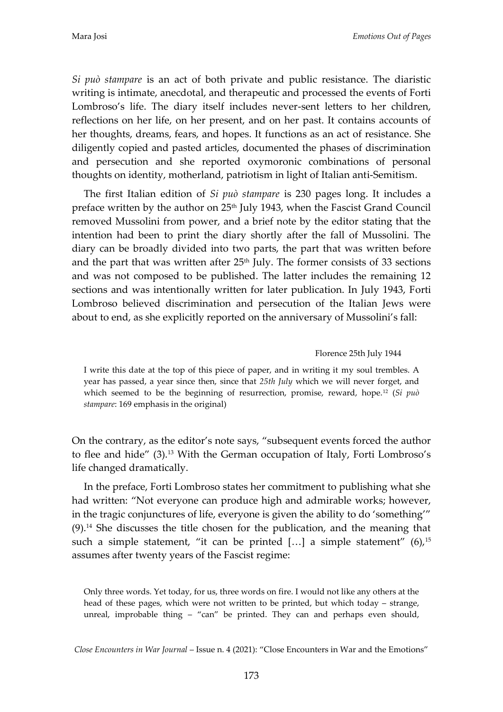*Si può stampare* is an act of both private and public resistance. The diaristic writing is intimate, anecdotal, and therapeutic and processed the events of Forti Lombroso's life. The diary itself includes never-sent letters to her children, reflections on her life, on her present, and on her past. It contains accounts of her thoughts, dreams, fears, and hopes. It functions as an act of resistance. She diligently copied and pasted articles, documented the phases of discrimination and persecution and she reported oxymoronic combinations of personal thoughts on identity, motherland, patriotism in light of Italian anti-Semitism.

The first Italian edition of *Si può stampare* is 230 pages long. It includes a preface written by the author on 25<sup>th</sup> July 1943, when the Fascist Grand Council removed Mussolini from power, and a brief note by the editor stating that the intention had been to print the diary shortly after the fall of Mussolini. The diary can be broadly divided into two parts, the part that was written before and the part that was written after  $25<sup>th</sup>$  July. The former consists of 33 sections and was not composed to be published. The latter includes the remaining 12 sections and was intentionally written for later publication. In July 1943, Forti Lombroso believed discrimination and persecution of the Italian Jews were about to end, as she explicitly reported on the anniversary of Mussolini's fall:

#### Florence 25th July 1944

I write this date at the top of this piece of paper, and in writing it my soul trembles. A year has passed, a year since then, since that *25th July* which we will never forget, and which seemed to be the beginning of resurrection, promise, reward, hope.<sup>12</sup> (*Si può stampare*: 169 emphasis in the original)

On the contrary, as the editor's note says, 'subsequent events forced the author to flee and hide" (3).<sup>13</sup> With the German occupation of Italy, Forti Lombroso's life changed dramatically.

In the preface, Forti Lombroso states her commitment to publishing what she had written: 'Not everyone can produce high and admirable works; however, in the tragic conjunctures of life, everyone is given the ability to do 'something'' (9).<sup>14</sup> She discusses the title chosen for the publication, and the meaning that such a simple statement, "it can be printed  $[...]$  a simple statement" (6),<sup>15</sup> assumes after twenty years of the Fascist regime:

Only three words. Yet today, for us, three words on fire. I would not like any others at the head of these pages, which were not written to be printed, but which today – strange, unreal, improbable thing - "can" be printed. They can and perhaps even should,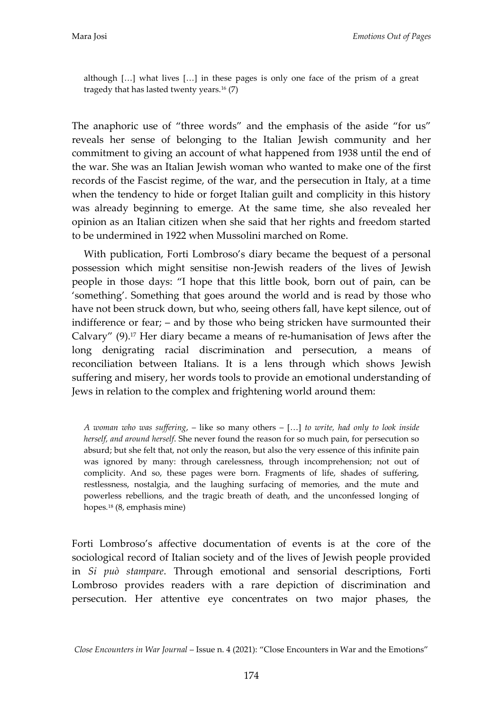although [...] what lives [...] in these pages is only one face of the prism of a great tragedy that has lasted twenty years.<sup>16</sup> (7)

The anaphoric use of "three words" and the emphasis of the aside "for us" reveals her sense of belonging to the Italian Jewish community and her commitment to giving an account of what happened from 1938 until the end of the war. She was an Italian Jewish woman who wanted to make one of the first records of the Fascist regime, of the war, and the persecution in Italy, at a time when the tendency to hide or forget Italian guilt and complicity in this history was already beginning to emerge. At the same time, she also revealed her opinion as an Italian citizen when she said that her rights and freedom started to be undermined in 1922 when Mussolini marched on Rome.

With publication, Forti Lombroso's diary became the bequest of a personal possession which might sensitise non-Jewish readers of the lives of Jewish people in those days: 'I hope that this little book, born out of pain, can be 'something'. Something that goes around the world and is read by those who have not been struck down, but who, seeing others fall, have kept silence, out of indifference or fear; – and by those who being stricken have surmounted their Calvary' (9).<sup>17</sup> Her diary became a means of re-humanisation of Jews after the long denigrating racial discrimination and persecution, a means of reconciliation between Italians. It is a lens through which shows Jewish suffering and misery, her words tools to provide an emotional understanding of Jews in relation to the complex and frightening world around them:

*A woman who was suffering*,  $-$  like so many others  $-$  [...] to write, had only to look inside *herself, and around herself*. She never found the reason for so much pain, for persecution so absurd; but she felt that, not only the reason, but also the very essence of this infinite pain was ignored by many: through carelessness, through incomprehension; not out of complicity. And so, these pages were born. Fragments of life, shades of suffering, restlessness, nostalgia, and the laughing surfacing of memories, and the mute and powerless rebellions, and the tragic breath of death, and the unconfessed longing of hopes*.* <sup>18</sup> (8, emphasis mine)

Forti Lombroso's affective documentation of events is at the core of the sociological record of Italian society and of the lives of Jewish people provided in *Si può stampare*. Through emotional and sensorial descriptions, Forti Lombroso provides readers with a rare depiction of discrimination and persecution. Her attentive eye concentrates on two major phases, the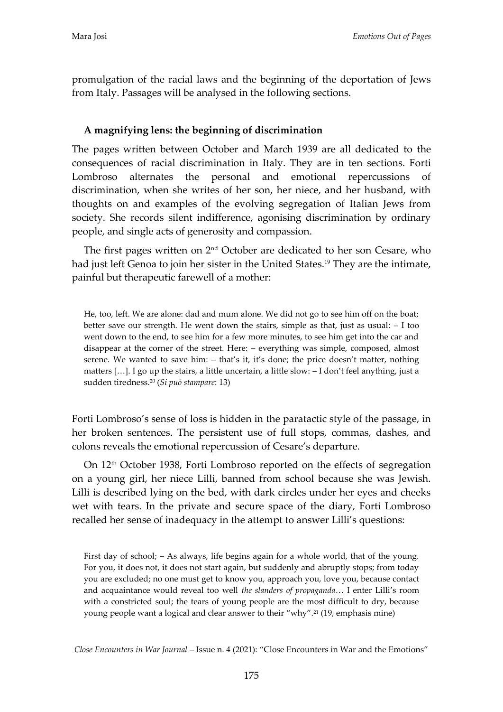promulgation of the racial laws and the beginning of the deportation of Jews from Italy. Passages will be analysed in the following sections.

# **A magnifying lens: the beginning of discrimination**

The pages written between October and March 1939 are all dedicated to the consequences of racial discrimination in Italy. They are in ten sections. Forti Lombroso alternates the personal and emotional repercussions of discrimination, when she writes of her son, her niece, and her husband, with thoughts on and examples of the evolving segregation of Italian Jews from society. She records silent indifference, agonising discrimination by ordinary people, and single acts of generosity and compassion.

The first pages written on 2nd October are dedicated to her son Cesare, who had just left Genoa to join her sister in the United States.<sup>19</sup> They are the intimate, painful but therapeutic farewell of a mother:

He, too, left. We are alone: dad and mum alone. We did not go to see him off on the boat; better save our strength. He went down the stairs, simple as that, just as usual: – I too went down to the end, to see him for a few more minutes, to see him get into the car and disappear at the corner of the street. Here: – everything was simple, composed, almost serene. We wanted to save him: – that's it, it's done; the price doesn't matter, nothing matters [...]. I go up the stairs, a little uncertain, a little slow: - I don't feel anything, just a sudden tiredness.<sup>20</sup> (*Si può stampare*: 13)

Forti Lombroso's sense of loss is hidden in the paratactic style of the passage, in her broken sentences. The persistent use of full stops, commas, dashes, and colons reveals the emotional repercussion of Cesare's departure.

On 12<sup>th</sup> October 1938, Forti Lombroso reported on the effects of segregation on a young girl, her niece Lilli, banned from school because she was Jewish. Lilli is described lying on the bed, with dark circles under her eyes and cheeks wet with tears. In the private and secure space of the diary, Forti Lombroso recalled her sense of inadequacy in the attempt to answer Lilli's questions:

First day of school; – As always, life begins again for a whole world, that of the young. For you, it does not, it does not start again, but suddenly and abruptly stops; from today you are excluded; no one must get to know you, approach you, love you, because contact and acquaintance would reveal too well *the slanders of propaganda*... I enter Lilli's room with a constricted soul; the tears of young people are the most difficult to dry, because young people want a logical and clear answer to their 'why'. <sup>21</sup> (19, emphasis mine)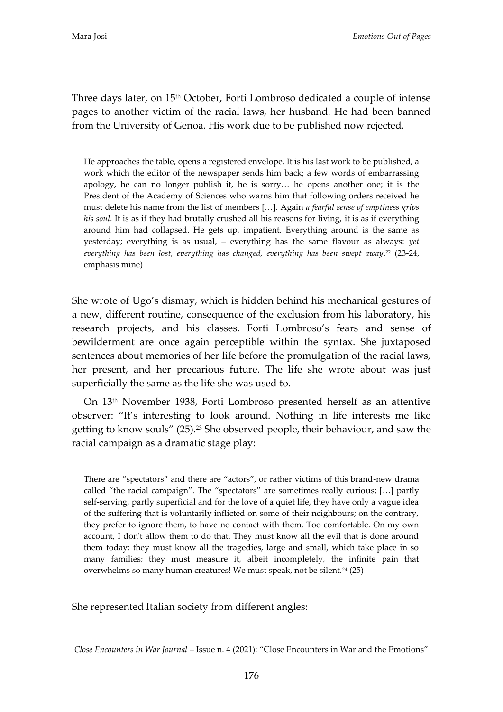Three days later, on 15<sup>th</sup> October, Forti Lombroso dedicated a couple of intense pages to another victim of the racial laws, her husband. He had been banned from the University of Genoa. His work due to be published now rejected.

He approaches the table, opens a registered envelope. It is his last work to be published, a work which the editor of the newspaper sends him back; a few words of embarrassing apology, he can no longer publish it, he is sorry... he opens another one; it is the President of the Academy of Sciences who warns him that following orders received he must delete his name from the list of members [...]. Again *a fearful sense of emptiness grips his soul*. It is as if they had brutally crushed all his reasons for living, it is as if everything around him had collapsed. He gets up, impatient. Everything around is the same as yesterday; everything is as usual, – everything has the same flavour as always: *yet everything has been lost, everything has changed, everything has been swept away*. <sup>22</sup> (23-24, emphasis mine)

She wrote of Ugo's dismay, which is hidden behind his mechanical gestures of a new, different routine, consequence of the exclusion from his laboratory, his research projects, and his classes. Forti Lombroso's fears and sense of bewilderment are once again perceptible within the syntax. She juxtaposed sentences about memories of her life before the promulgation of the racial laws, her present, and her precarious future. The life she wrote about was just superficially the same as the life she was used to.

On 13th November 1938, Forti Lombroso presented herself as an attentive observer: 'It's interesting to look around. Nothing in life interests me like getting to know souls" (25).<sup>23</sup> She observed people, their behaviour, and saw the racial campaign as a dramatic stage play:

There are 'spectators' and there are 'actors', or rather victims of this brand-new drama called "the racial campaign". The "spectators" are sometimes really curious;  $[\ldots]$  partly self-serving, partly superficial and for the love of a quiet life, they have only a vague idea of the suffering that is voluntarily inflicted on some of their neighbours; on the contrary, they prefer to ignore them, to have no contact with them. Too comfortable. On my own account, I don't allow them to do that. They must know all the evil that is done around them today: they must know all the tragedies, large and small, which take place in so many families; they must measure it, albeit incompletely, the infinite pain that overwhelms so many human creatures! We must speak, not be silent.<sup>24</sup> (25)

She represented Italian society from different angles: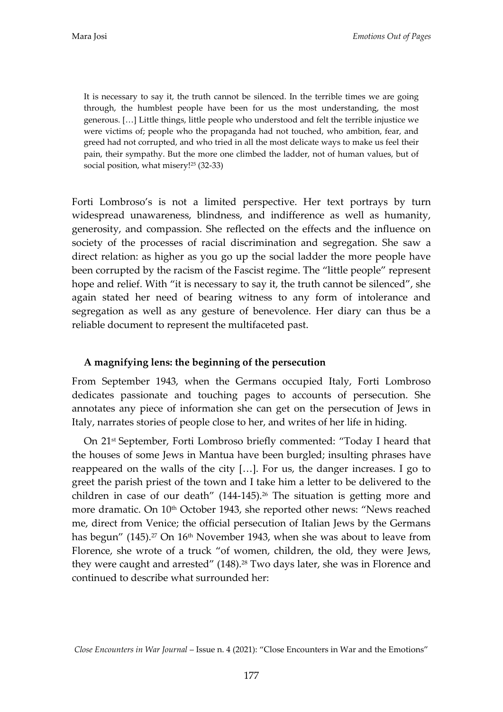It is necessary to say it, the truth cannot be silenced. In the terrible times we are going through, the humblest people have been for us the most understanding, the most generous. [...] Little things, little people who understood and felt the terrible injustice we were victims of; people who the propaganda had not touched, who ambition, fear, and greed had not corrupted, and who tried in all the most delicate ways to make us feel their pain, their sympathy. But the more one climbed the ladder, not of human values, but of social position, what misery!<sup>25</sup> (32-33)

Forti Lombroso's is not a limited perspective. Her text portrays by turn widespread unawareness, blindness, and indifference as well as humanity, generosity, and compassion. She reflected on the effects and the influence on society of the processes of racial discrimination and segregation. She saw a direct relation: as higher as you go up the social ladder the more people have been corrupted by the racism of the Fascist regime. The 'little people' represent hope and relief. With "it is necessary to say it, the truth cannot be silenced", she again stated her need of bearing witness to any form of intolerance and segregation as well as any gesture of benevolence. Her diary can thus be a reliable document to represent the multifaceted past.

## **A magnifying lens: the beginning of the persecution**

From September 1943, when the Germans occupied Italy, Forti Lombroso dedicates passionate and touching pages to accounts of persecution. She annotates any piece of information she can get on the persecution of Jews in Italy, narrates stories of people close to her, and writes of her life in hiding.

On 21st September, Forti Lombroso briefly commented: 'Today I heard that the houses of some Jews in Mantua have been burgled; insulting phrases have reappeared on the walls of the city  $[...]$ . For us, the danger increases. I go to greet the parish priest of the town and I take him a letter to be delivered to the children in case of our death"  $(144-145)$ .<sup>26</sup> The situation is getting more and more dramatic. On 10<sup>th</sup> October 1943, she reported other news: "News reached me, direct from Venice; the official persecution of Italian Jews by the Germans has begun" (145).<sup>27</sup> On 16<sup>th</sup> November 1943, when she was about to leave from Florence, she wrote of a truck "of women, children, the old, they were Jews, they were caught and arrested" (148).<sup>28</sup> Two days later, she was in Florence and continued to describe what surrounded her:

*Close Encounters in War Journal* – Issue n. 4 (2021): 'Close Encounters in War and the Emotions'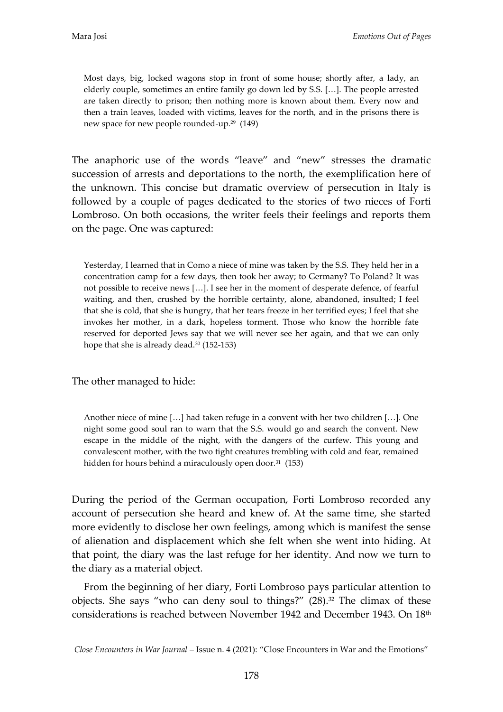Most days, big, locked wagons stop in front of some house; shortly after, a lady, an elderly couple, sometimes an entire family go down led by S.S.  $[...]$ . The people arrested are taken directly to prison; then nothing more is known about them. Every now and then a train leaves, loaded with victims, leaves for the north, and in the prisons there is new space for new people rounded-up.<sup>29</sup> (149)

The anaphoric use of the words "leave" and "new" stresses the dramatic succession of arrests and deportations to the north, the exemplification here of the unknown. This concise but dramatic overview of persecution in Italy is followed by a couple of pages dedicated to the stories of two nieces of Forti Lombroso. On both occasions, the writer feels their feelings and reports them on the page. One was captured:

Yesterday, I learned that in Como a niece of mine was taken by the S.S. They held her in a concentration camp for a few days, then took her away; to Germany? To Poland? It was not possible to receive news [...]. I see her in the moment of desperate defence, of fearful waiting, and then, crushed by the horrible certainty, alone, abandoned, insulted; I feel that she is cold, that she is hungry, that her tears freeze in her terrified eyes; I feel that she invokes her mother, in a dark, hopeless torment. Those who know the horrible fate reserved for deported Jews say that we will never see her again, and that we can only hope that she is already dead.<sup>30</sup> (152-153)

The other managed to hide:

Another niece of mine  $[...]$  had taken refuge in a convent with her two children  $[...]$ . One night some good soul ran to warn that the S.S. would go and search the convent. New escape in the middle of the night, with the dangers of the curfew. This young and convalescent mother, with the two tight creatures trembling with cold and fear, remained hidden for hours behind a miraculously open door.<sup>31</sup> (153)

During the period of the German occupation, Forti Lombroso recorded any account of persecution she heard and knew of. At the same time, she started more evidently to disclose her own feelings, among which is manifest the sense of alienation and displacement which she felt when she went into hiding. At that point, the diary was the last refuge for her identity. And now we turn to the diary as a material object.

From the beginning of her diary, Forti Lombroso pays particular attention to objects. She says "who can deny soul to things?"  $(28)$ .<sup>32</sup> The climax of these considerations is reached between November 1942 and December 1943. On 18<sup>th</sup>

*Close Encounters in War Journal* – Issue n. 4 (2021): 'Close Encounters in War and the Emotions'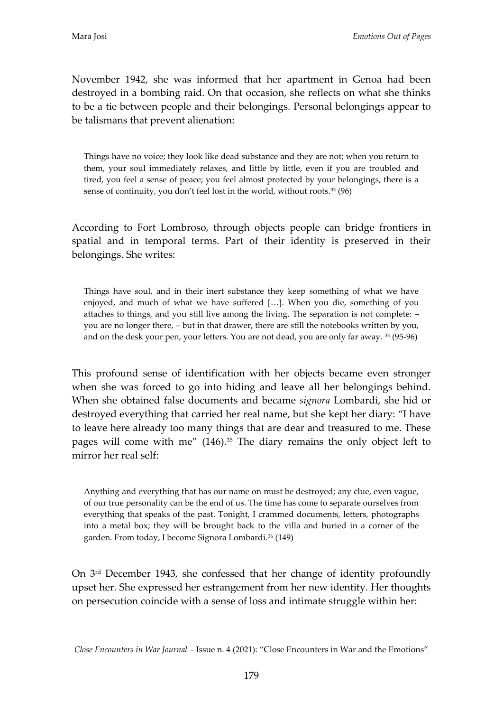November 1942, she was informed that her apartment in Genoa had been destroyed in a bombing raid. On that occasion, she reflects on what she thinks to be a tie between people and their belongings. Personal belongings appear to be talismans that prevent alienation:

Things have no voice; they look like dead substance and they are not; when you return to them, your soul immediately relaxes, and little by little, even if you are troubled and tired, you feel a sense of peace; you feel almost protected by your belongings, there is a sense of continuity, you don't feel lost in the world, without roots.<sup>33</sup> (96)

According to Fort Lombroso, through objects people can bridge frontiers in spatial and in temporal terms. Part of their identity is preserved in their belongings. She writes:

Things have soul, and in their inert substance they keep something of what we have enjoyed, and much of what we have suffered  $[...]$ . When you die, something of you attaches to things, and you still live among the living. The separation is not complete: – you are no longer there, – but in that drawer, there are still the notebooks written by you, and on the desk your pen, your letters. You are not dead, you are only far away. <sup>34</sup> (95-96)

This profound sense of identification with her objects became even stronger when she was forced to go into hiding and leave all her belongings behind. When she obtained false documents and became *signora* Lombardi, she hid or destroyed everything that carried her real name, but she kept her diary: 'I have to leave here already too many things that are dear and treasured to me. These pages will come with me" (146).<sup>35</sup> The diary remains the only object left to mirror her real self:

Anything and everything that has our name on must be destroyed; any clue, even vague, of our true personality can be the end of us. The time has come to separate ourselves from everything that speaks of the past. Tonight, I crammed documents, letters, photographs into a metal box; they will be brought back to the villa and buried in a corner of the garden. From today, I become Signora Lombardi.<sup>36</sup> (149)

On 3rd December 1943, she confessed that her change of identity profoundly upset her. She expressed her estrangement from her new identity. Her thoughts on persecution coincide with a sense of loss and intimate struggle within her: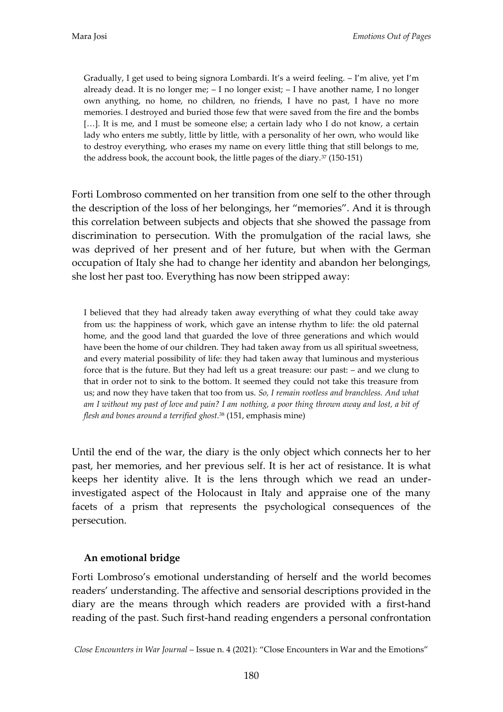Gradually, I get used to being signora Lombardi. It's a weird feeling. – I'm alive, yet I'm already dead. It is no longer me; – I no longer exist; – I have another name, I no longer own anything, no home, no children, no friends, I have no past, I have no more memories. I destroyed and buried those few that were saved from the fire and the bombs [...]. It is me, and I must be someone else; a certain lady who I do not know, a certain lady who enters me subtly, little by little, with a personality of her own, who would like to destroy everything, who erases my name on every little thing that still belongs to me, the address book, the account book, the little pages of the diary.<sup>37</sup> (150-151)

Forti Lombroso commented on her transition from one self to the other through the description of the loss of her belongings, her 'memories'. And it is through this correlation between subjects and objects that she showed the passage from discrimination to persecution. With the promulgation of the racial laws, she was deprived of her present and of her future, but when with the German occupation of Italy she had to change her identity and abandon her belongings, she lost her past too. Everything has now been stripped away:

I believed that they had already taken away everything of what they could take away from us: the happiness of work, which gave an intense rhythm to life: the old paternal home, and the good land that guarded the love of three generations and which would have been the home of our children. They had taken away from us all spiritual sweetness, and every material possibility of life: they had taken away that luminous and mysterious force that is the future. But they had left us a great treasure: our past: – and we clung to that in order not to sink to the bottom. It seemed they could not take this treasure from us; and now they have taken that too from us. *So, I remain rootless and branchless. And what am I without my past of love and pain? I am nothing, a poor thing thrown away and lost, a bit of flesh and bones around a terrified ghost.*<sup>38</sup> (151, emphasis mine)

Until the end of the war, the diary is the only object which connects her to her past, her memories, and her previous self. It is her act of resistance. It is what keeps her identity alive. It is the lens through which we read an underinvestigated aspect of the Holocaust in Italy and appraise one of the many facets of a prism that represents the psychological consequences of the persecution.

## **An emotional bridge**

Forti Lombroso's emotional understanding of herself and the world becomes readers' understanding. The affective and sensorial descriptions provided in the diary are the means through which readers are provided with a first-hand reading of the past. Such first-hand reading engenders a personal confrontation

*Close Encounters in War Journal* – Issue n. 4 (2021): 'Close Encounters in War and the Emotions'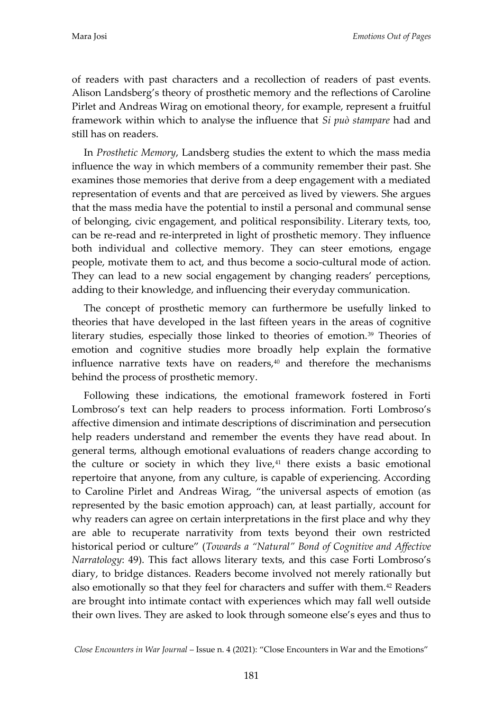of readers with past characters and a recollection of readers of past events. Alison Landsberg's theory of prosthetic memory and the reflections of Caroline Pirlet and Andreas Wirag on emotional theory, for example, represent a fruitful framework within which to analyse the influence that *Si può stampare* had and still has on readers.

In *Prosthetic Memory*, Landsberg studies the extent to which the mass media influence the way in which members of a community remember their past. She examines those memories that derive from a deep engagement with a mediated representation of events and that are perceived as lived by viewers. She argues that the mass media have the potential to instil a personal and communal sense of belonging, civic engagement, and political responsibility. Literary texts, too, can be re-read and re-interpreted in light of prosthetic memory. They influence both individual and collective memory. They can steer emotions, engage people, motivate them to act, and thus become a socio-cultural mode of action. They can lead to a new social engagement by changing readers' perceptions, adding to their knowledge, and influencing their everyday communication.

The concept of prosthetic memory can furthermore be usefully linked to theories that have developed in the last fifteen years in the areas of cognitive literary studies, especially those linked to theories of emotion.<sup>39</sup> Theories of emotion and cognitive studies more broadly help explain the formative influence narrative texts have on readers, $40$  and therefore the mechanisms behind the process of prosthetic memory.

Following these indications, the emotional framework fostered in Forti Lombroso's text can help readers to process information. Forti Lombroso's affective dimension and intimate descriptions of discrimination and persecution help readers understand and remember the events they have read about. In general terms, although emotional evaluations of readers change according to the culture or society in which they live, $41$  there exists a basic emotional repertoire that anyone, from any culture, is capable of experiencing. According to Caroline Pirlet and Andreas Wirag, 'the universal aspects of emotion (as represented by the basic emotion approach) can, at least partially, account for why readers can agree on certain interpretations in the first place and why they are able to recuperate narrativity from texts beyond their own restricted historical period or culture' (*Towards a "Natural" Bond of Cognitive and Affective Narratology*: 49). This fact allows literary texts, and this case Forti Lombroso's diary, to bridge distances. Readers become involved not merely rationally but also emotionally so that they feel for characters and suffer with them.<sup>42</sup> Readers are brought into intimate contact with experiences which may fall well outside their own lives. They are asked to look through someone else's eyes and thus to

*Close Encounters in War Journal* – Issue n. 4 (2021): 'Close Encounters in War and the Emotions'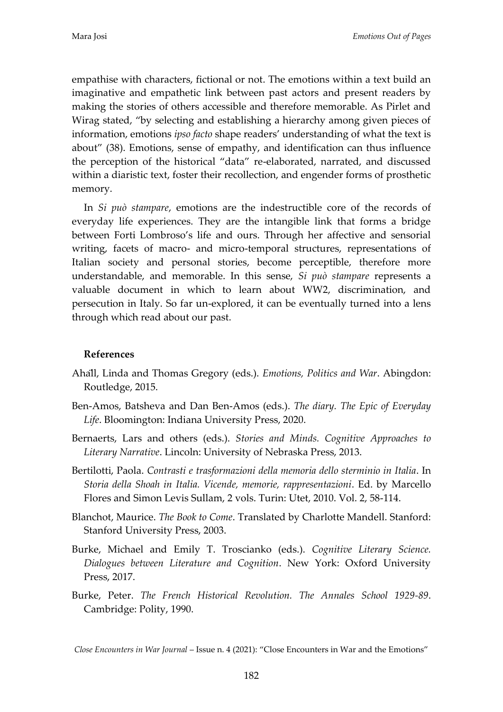empathise with characters, fictional or not. The emotions within a text build an imaginative and empathetic link between past actors and present readers by making the stories of others accessible and therefore memorable. As Pirlet and Wirag stated, 'by selecting and establishing a hierarchy among given pieces of information, emotions *ipso facto* shape readers' understanding of what the text is about' (38). Emotions, sense of empathy, and identification can thus influence the perception of the historical 'data' re-elaborated, narrated, and discussed within a diaristic text, foster their recollection, and engender forms of prosthetic memory.

In *Si può stampare*, emotions are the indestructible core of the records of everyday life experiences. They are the intangible link that forms a bridge between Forti Lombroso's life and ours. Through her affective and sensorial writing, facets of macro- and micro-temporal structures, representations of Italian society and personal stories, become perceptible, therefore more understandable, and memorable. In this sense, *Si può stampare* represents a valuable document in which to learn about WW2, discrimination, and persecution in Italy. So far un-explored, it can be eventually turned into a lens through which read about our past.

## **References**

- Ahall, Linda and Thomas Gregory (eds.). *Emotions, Politics and War*. Abingdon: Routledge, 2015.
- Ben-Amos, Batsheva and Dan Ben-Amos (eds.). *The diary. The Epic of Everyday Life*. Bloomington: Indiana University Press, 2020.
- Bernaerts, Lars and others (eds.). *Stories and Minds. Cognitive Approaches to Literary Narrative*. Lincoln: University of Nebraska Press, 2013.
- Bertilotti, Paola. *Contrasti e trasformazioni della memoria dello sterminio in Italia*. In *Storia della Shoah in Italia. Vicende, memorie, rappresentazioni*. Ed. by Marcello Flores and Simon Levis Sullam, 2 vols. Turin: Utet, 2010. Vol. 2, 58-114.
- Blanchot, Maurice. *The Book to Come*. Translated by Charlotte Mandell. Stanford: Stanford University Press, 2003.
- Burke, Michael and Emily T. Troscianko (eds.). *Cognitive Literary Science. Dialogues between Literature and Cognition*. New York: Oxford University Press, 2017.
- Burke, Peter. *The French Historical Revolution. The Annales School 1929-89*. Cambridge: Polity, 1990.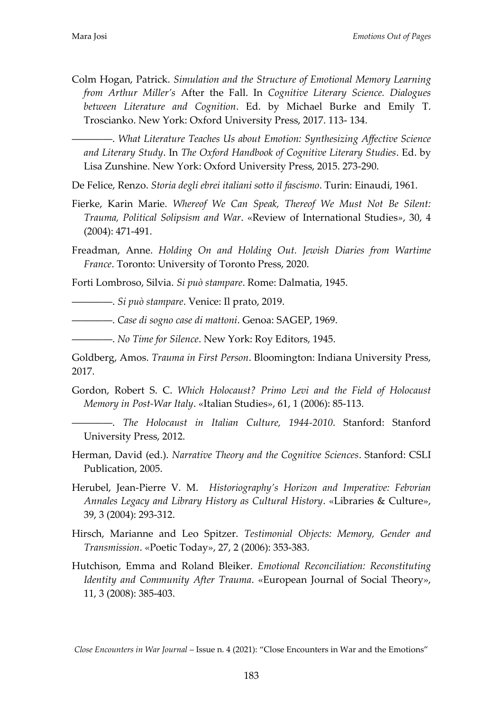Colm Hogan, Patrick. *Simulation and the Structure of Emotional Memory Learning from Arthur Miller's* After the Fall. In *Cognitive Literary Science. Dialogues between Literature and Cognition*. Ed. by Michael Burke and Emily T. Troscianko. New York: Oxford University Press, 2017. 113- 134.

――――. *What Literature Teaches Us about Emotion: Synthesizing Affective Science and Literary Study*. In *The Oxford Handbook of Cognitive Literary Studies*. Ed. by Lisa Zunshine. New York: Oxford University Press, 2015. 273-290.

De Felice, Renzo. *Storia degli ebrei italiani sotto il fascismo*. Turin: Einaudi, 1961.

- Fierke, Karin Marie. *Whereof We Can Speak, Thereof We Must Not Be Silent: Trauma, Political Solipsism and War*. «Review of International Studies*»*, 30, 4 (2004): 471-491.
- Freadman, Anne. *Holding On and Holding Out. Jewish Diaries from Wartime France*. Toronto: University of Toronto Press, 2020.

Forti Lombroso, Silvia. *Si può stampare*. Rome: Dalmatia, 1945.

――――. *Si può stampare*. Venice: Il prato, 2019.

――――. *Case di sogno case di mattoni*. Genoa: SAGEP, 1969.

――――. *No Time for Silence*. New York: Roy Editors, 1945.

Goldberg, Amos. *Trauma in First Person*. Bloomington: Indiana University Press, 2017.

Gordon, Robert S. C. *Which Holocaust? Primo Levi and the Field of Holocaust Memory in Post-War Italy*. «Italian Studies», 61, 1 (2006): 85-113.

――――. *The Holocaust in Italian Culture, 1944-2010*. Stanford: Stanford University Press, 2012.

- Herman, David (ed.). *Narrative Theory and the Cognitive Sciences*. Stanford: CSLI Publication, 2005.
- Herubel, Jean-Pierre V. M. *Historiography's Horizon and Imperative: Febvrian Annales Legacy and Library History as Cultural History*. «Libraries & Culture», 39, 3 (2004): 293-312.
- Hirsch, Marianne and Leo Spitzer. *Testimonial Objects: Memory, Gender and Transmission*. «Poetic Today», 27, 2 (2006): 353-383.
- Hutchison, Emma and Roland Bleiker. *Emotional Reconciliation: Reconstituting Identity and Community After Trauma*. «European Journal of Social Theory», 11, 3 (2008): 385-403.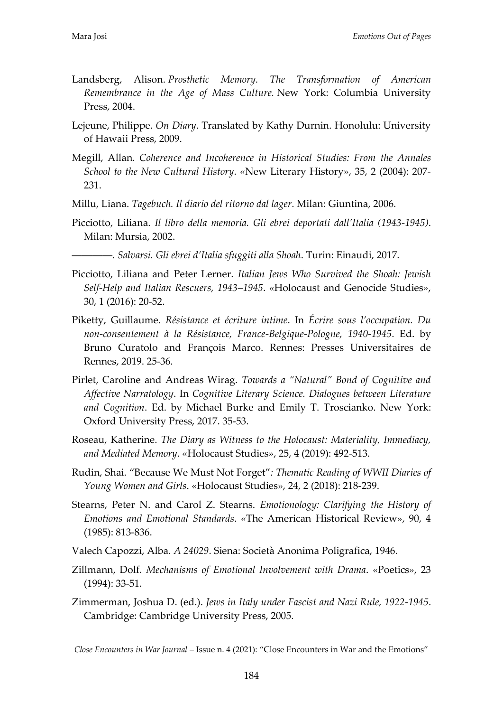- Landsberg, Alison. *Prosthetic Memory. The Transformation of American Remembrance in the Age of Mass Culture.* New York: Columbia University Press, 2004.
- Lejeune, Philippe. *On Diary*. Translated by Kathy Durnin. Honolulu: University of Hawaii Press, 2009.
- Megill, Allan. *Coherence and Incoherence in Historical Studies: From the Annales School to the New Cultural History*. «New Literary History», 35, 2 (2004): 207- 231.
- Millu, Liana. *Tagebuch. Il diario del ritorno dal lager*. Milan: Giuntina, 2006.
- Picciotto, Liliana. *Il libro della memoria. Gli ebrei deportati dall'Italia (1943-1945)*. Milan: Mursia, 2002.

――――. *Salvarsi. Gli ebrei d'Italia sfuggiti alla Shoah*. Turin: Einaudi, 2017.

- Picciotto, Liliana and Peter Lerner. *Italian Jews Who Survived the Shoah: Jewish Self-Help and Italian Rescuers, 1943–1945*. «Holocaust and Genocide Studies», 30, 1 (2016): 20-52.
- Piketty, Guillaume. *Résistance et écriture intime*. In *Écrire sous l'occupation. Du non-consentement à la Résistance, France-Belgique-Pologne, 1940-1945*. Ed. by Bruno Curatolo and François Marco. Rennes: Presses Universitaires de Rennes, 2019. 25-36.
- Pirlet, Caroline and Andreas Wirag. *Towards a "Natural" Bond of Cognitive and Affective Narratology*. In *Cognitive Literary Science. Dialogues between Literature and Cognition*. Ed. by Michael Burke and Emily T. Troscianko. New York: Oxford University Press, 2017. 35-53.
- Roseau, Katherine. *The Diary as Witness to the Holocaust: Materiality, Immediacy, and Mediated Memory*. «Holocaust Studies», 25, 4 (2019): 492-513.
- Rudin, Shai. 'Because We Must Not Forget'*: Thematic Reading of WWII Diaries of Young Women and Girls*. «Holocaust Studies», 24, 2 (2018): 218-239.
- Stearns, Peter N. and Carol Z. Stearns. *Emotionology: Clarifying the History of Emotions and Emotional Standards*. «The American Historical Review», 90, 4 (1985): 813-836.
- Valech Capozzi, Alba. *A 24029*. Siena: Società Anonima Poligrafica, 1946.
- Zillmann, Dolf. *Mechanisms of Emotional Involvement with Drama*. «Poetics», 23 (1994): 33-51.
- Zimmerman, Joshua D. (ed.). *Jews in Italy under Fascist and Nazi Rule, 1922-1945*. Cambridge: Cambridge University Press, 2005.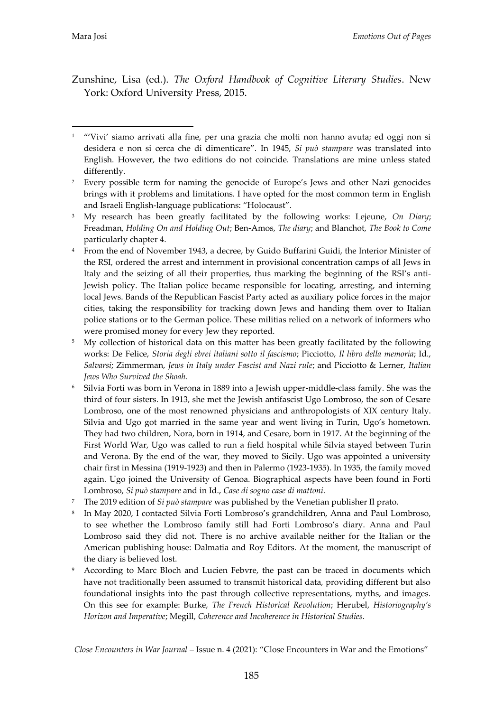Zunshine, Lisa (ed.). *The Oxford Handbook of Cognitive Literary Studies*. New York: Oxford University Press, 2015.

- <sup>7</sup> The 2019 edition of *Si può stampare* was published by the Venetian publisher Il prato.
- 8 In May 2020, I contacted Silvia Forti Lombroso's grandchildren, Anna and Paul Lombroso, to see whether the Lombroso family still had Forti Lombroso's diary. Anna and Paul Lombroso said they did not. There is no archive available neither for the Italian or the American publishing house: Dalmatia and Roy Editors. At the moment, the manuscript of the diary is believed lost.
- According to Marc Bloch and Lucien Febvre, the past can be traced in documents which have not traditionally been assumed to transmit historical data, providing different but also foundational insights into the past through collective representations, myths, and images. On this see for example: Burke, *The French Historical Revolution*; Herubel, *Historiography's Horizon and Imperative*; Megill, *Coherence and Incoherence in Historical Studies*.

<sup>-</sup><sup>1</sup> "'Vivi' siamo arrivati alla fine, per una grazia che molti non hanno avuta; ed oggi non si desidera e non si cerca che di dimenticare'. In 1945, *Si può stampare* was translated into English. However, the two editions do not coincide. Translations are mine unless stated differently.

<sup>&</sup>lt;sup>2</sup> Every possible term for naming the genocide of Europe's Jews and other Nazi genocides brings with it problems and limitations. I have opted for the most common term in English and Israeli English-language publications: 'Holocaust'.

<sup>3</sup> My research has been greatly facilitated by the following works: Lejeune, *On Diary*; Freadman, *Holding On and Holding Out*; Ben-Amos, *The diary*; and Blanchot, *The Book to Come*  particularly chapter 4.

<sup>4</sup> From the end of November 1943, a decree, by Guido Buffarini Guidi, the Interior Minister of the RSI, ordered the arrest and internment in provisional concentration camps of all Jews in Italy and the seizing of all their properties, thus marking the beginning of the RSI's anti-Jewish policy. The Italian police became responsible for locating, arresting, and interning local Jews. Bands of the Republican Fascist Party acted as auxiliary police forces in the major cities, taking the responsibility for tracking down Jews and handing them over to Italian police stations or to the German police. These militias relied on a network of informers who were promised money for every Jew they reported.

<sup>&</sup>lt;sup>5</sup> My collection of historical data on this matter has been greatly facilitated by the following works: De Felice, *Storia degli ebrei italiani sotto il fascismo*; Picciotto, *Il libro della memoria*; Id., *Salvarsi*; Zimmerman, *Jews in Italy under Fascist and Nazi rule*; and Picciotto & Lerner, *Italian Jews Who Survived the Shoah*.

<sup>6</sup> Silvia Forti was born in Verona in 1889 into a Jewish upper-middle-class family. She was the third of four sisters. In 1913, she met the Jewish antifascist Ugo Lombroso, the son of Cesare Lombroso, one of the most renowned physicians and anthropologists of XIX century Italy. Silvia and Ugo got married in the same year and went living in Turin, Ugo's hometown. They had two children, Nora, born in 1914, and Cesare, born in 1917. At the beginning of the First World War, Ugo was called to run a field hospital while Silvia stayed between Turin and Verona. By the end of the war, they moved to Sicily. Ugo was appointed a university chair first in Messina (1919-1923) and then in Palermo (1923-1935). In 1935, the family moved again. Ugo joined the University of Genoa. Biographical aspects have been found in Forti Lombroso, *Si può stampare* and in Id., *Case di sogno case di mattoni*.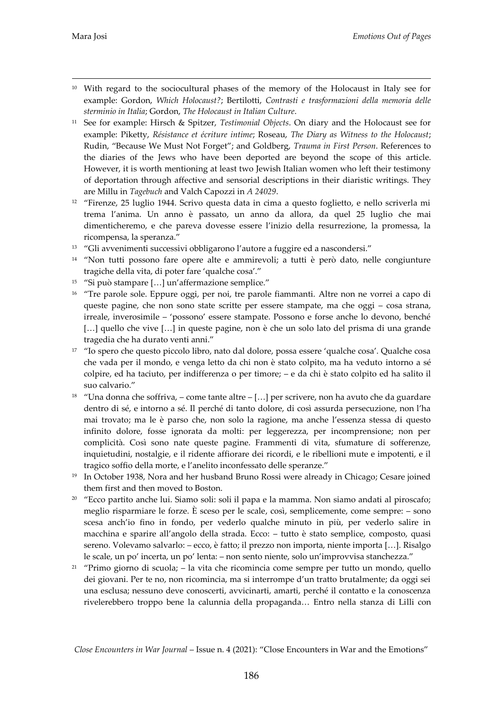- <sup>10</sup> With regard to the sociocultural phases of the memory of the Holocaust in Italy see for example: Gordon, *Which Holocaust?*; Bertilotti, *Contrasti e trasformazioni della memoria delle sterminio in Italia*; Gordon, *The Holocaust in Italian Culture*.
- <sup>11</sup> See for example: Hirsch & Spitzer, *Testimonial Objects*. On diary and the Holocaust see for example: Piketty, *Résistance et écriture intime*; Roseau, *The Diary as Witness to the Holocaust*; Rudin, 'Because We Must Not Forget'; and Goldberg, *Trauma in First Person*. References to the diaries of the Jews who have been deported are beyond the scope of this article. However, it is worth mentioning at least two Jewish Italian women who left their testimony of deportation through affective and sensorial descriptions in their diaristic writings. They are Millu in *Tagebuch* and Valch Capozzi in *A 24029*.
- <sup>12</sup> 'Firenze, 25 luglio 1944. Scrivo questa data in cima a questo foglietto, e nello scriverla mi trema l'anima. Un anno è passato, un anno da allora, da quel 25 luglio che mai dimenticheremo, e che pareva dovesse essere l'inizio della resurrezione, la promessa, la ricompensa, la speranza.'
- <sup>13</sup> "Gli avvenimenti successivi obbligarono l'autore a fuggire ed a nascondersi."
- <sup>14</sup> 'Non tutti possono fare opere alte e ammirevoli; a tutti è però dato, nelle congiunture tragiche della vita, di poter fare 'qualche cosa'.'
- $15$  "Si può stampare  $[...]$  un'affermazione semplice."
- <sup>16</sup> "Tre parole sole. Eppure oggi, per noi, tre parole fiammanti. Altre non ne vorrei a capo di queste pagine, che non sono state scritte per essere stampate, ma che oggi – cosa strana, irreale, inverosimile – 'possono' essere stampate. Possono e forse anche lo devono, benché [...] quello che vive [...] in queste pagine, non è che un solo lato del prisma di una grande tragedia che ha durato venti anni.'
- <sup>17</sup> "Io spero che questo piccolo libro, nato dal dolore, possa essere 'qualche cosa'. Qualche cosa che vada per il mondo, e venga letto da chi non è stato colpito, ma ha veduto intorno a sé colpire, ed ha taciuto, per indifferenza o per timore; – e da chi è stato colpito ed ha salito il suo calvario.'
- <sup>18</sup> "Una donna che soffriva, come tante altre [...] per scrivere, non ha avuto che da guardare dentro di sé, e intorno a sé. Il perché di tanto dolore, di così assurda persecuzione, non l'ha mai trovato; ma le è parso che, non solo la ragione, ma anche l'essenza stessa di questo infinito dolore, fosse ignorata da molti: per leggerezza, per incomprensione; non per complicità. Così sono nate queste pagine. Frammenti di vita, sfumature di sofferenze, inquietudini, nostalgie, e il ridente affiorare dei ricordi, e le ribellioni mute e impotenti, e il tragico soffio della morte, e l'anelito inconfessato delle speranze.'
- <sup>19</sup> In October 1938, Nora and her husband Bruno Rossi were already in Chicago; Cesare joined them first and then moved to Boston.
- <sup>20</sup> 'Ecco partito anche lui. Siamo soli: soli il papa e la mamma. Non siamo andati al piroscafo; meglio risparmiare le forze. È sceso per le scale, così, semplicemente, come sempre: – sono scesa anch'io fino in fondo, per vederlo qualche minuto in più, per vederlo salire in macchina e sparire all'angolo della strada. Ecco: – tutto è stato semplice, composto, quasi sereno. Volevamo salvarlo: – ecco, è fatto; il prezzo non importa, niente importa [...]. Risalgo le scale, un po' incerta, un po' lenta: – non sento niente, solo un'improvvisa stanchezza.'
- $21$  "Primo giorno di scuola; la vita che ricomincia come sempre per tutto un mondo, quello dei giovani. Per te no, non ricomincia, ma si interrompe d'un tratto brutalmente; da oggi sei una esclusa; nessuno deve conoscerti, avvicinarti, amarti, perché il contatto e la conoscenza rivelerebbero troppo bene la calunnia della propaganda... Entro nella stanza di Lilli con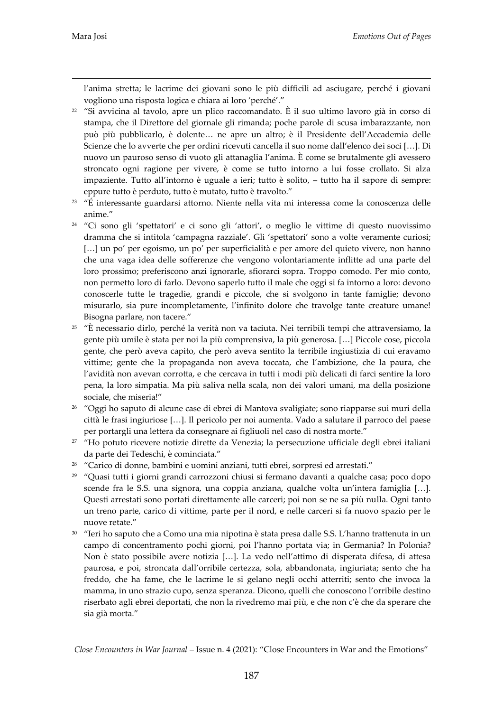l'anima stretta; le lacrime dei giovani sono le più difficili ad asciugare, perché i giovani vogliono una risposta logica e chiara ai loro 'perché'.'

- <sup>22</sup> "Si avvicina al tavolo, apre un plico raccomandato. È il suo ultimo lavoro già in corso di stampa, che il Direttore del giornale gli rimanda; poche parole di scusa imbarazzante, non può più pubblicarlo, è dolente... ne apre un altro; è il Presidente dell'Accademia delle Scienze che lo avverte che per ordini ricevuti cancella il suo nome dall'elenco dei soci [...]. Di nuovo un pauroso senso di vuoto gli attanaglia l'anima. È come se brutalmente gli avessero stroncato ogni ragione per vivere, è come se tutto intorno a lui fosse crollato. Si alza impaziente. Tutto all'intorno è uguale a ieri; tutto è solito, – tutto ha il sapore di sempre: eppure tutto è perduto, tutto è mutato, tutto è travolto.'
- <sup>23</sup> 'É interessante guardarsi attorno. Niente nella vita mi interessa come la conoscenza delle anime.'
- <sup>24</sup> "Ci sono gli 'spettatori' e ci sono gli 'attori', o meglio le vittime di questo nuovissimo dramma che si intitola 'campagna razziale'. Gli 'spettatori' sono a volte veramente curiosi;  $[...]$  un po' per egoismo, un po' per superficialità e per amore del quieto vivere, non hanno che una vaga idea delle sofferenze che vengono volontariamente inflitte ad una parte del loro prossimo; preferiscono anzi ignorarle, sfiorarci sopra. Troppo comodo. Per mio conto, non permetto loro di farlo. Devono saperlo tutto il male che oggi si fa intorno a loro: devono conoscerle tutte le tragedie, grandi e piccole, che si svolgono in tante famiglie; devono misurarlo, sia pure incompletamente, l'infinito dolore che travolge tante creature umane! Bisogna parlare, non tacere.'
- <sup>25</sup> "È necessario dirlo, perché la verità non va taciuta. Nei terribili tempi che attraversiamo, la gente più umile è stata per noi la più comprensiva, la più generosa. [...] Piccole cose, piccola gente, che però aveva capito, che però aveva sentito la terribile ingiustizia di cui eravamo vittime; gente che la propaganda non aveva toccata, che l'ambizione, che la paura, che l'avidità non avevan corrotta, e che cercava in tutti i modi più delicati di farci sentire la loro pena, la loro simpatia. Ma più saliva nella scala, non dei valori umani, ma della posizione sociale, che miseria!'
- <sup>26</sup> 'Oggi ho saputo di alcune case di ebrei di Mantova svaligiate; sono riapparse sui muri della città le frasi ingiuriose [...]. Il pericolo per noi aumenta. Vado a salutare il parroco del paese per portargli una lettera da consegnare ai figliuoli nel caso di nostra morte.'
- <sup>27</sup> 'Ho potuto ricevere notizie dirette da Venezia; la persecuzione ufficiale degli ebrei italiani da parte dei Tedeschi, è cominciata.'
- <sup>28</sup> "Carico di donne, bambini e uomini anziani, tutti ebrei, sorpresi ed arrestati."
- $29$  "Ouasi tutti i giorni grandi carrozzoni chiusi si fermano davanti a qualche casa; poco dopo scende fra le S.S. una signora, una coppia anziana, qualche volta un'intera famiglia  $[...]$ . Questi arrestati sono portati direttamente alle carceri; poi non se ne sa più nulla. Ogni tanto un treno parte, carico di vittime, parte per il nord, e nelle carceri si fa nuovo spazio per le nuove retate.'
- <sup>30</sup> "Ieri ho saputo che a Como una mia nipotina è stata presa dalle S.S. L'hanno trattenuta in un campo di concentramento pochi giorni, poi l'hanno portata via; in Germania? In Polonia? Non è stato possibile avere notizia [...]. La vedo nell'attimo di disperata difesa, di attesa paurosa, e poi, stroncata dall'orribile certezza, sola, abbandonata, ingiuriata; sento che ha freddo, che ha fame, che le lacrime le si gelano negli occhi atterriti; sento che invoca la mamma, in uno strazio cupo, senza speranza. Dicono, quelli che conoscono l'orribile destino riserbato agli ebrei deportati, che non la rivedremo mai più, e che non c'è che da sperare che sia già morta.'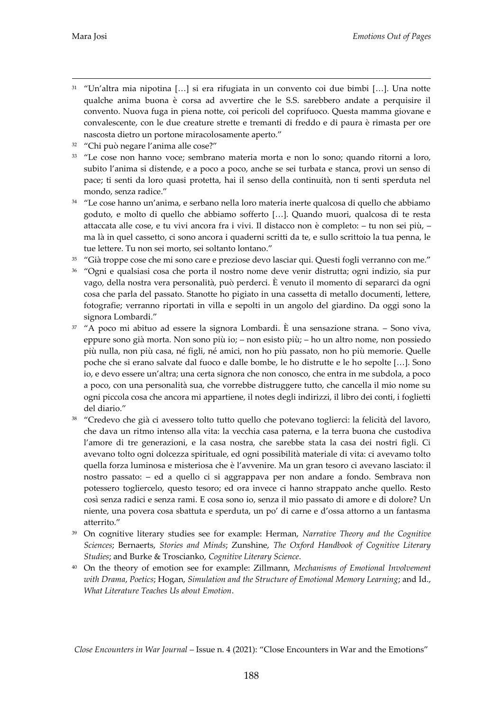- $31$  "Un'altra mia nipotina [...] si era rifugiata in un convento coi due bimbi [...]. Una notte qualche anima buona è corsa ad avvertire che le S.S. sarebbero andate a perquisire il convento. Nuova fuga in piena notte, coi pericoli del coprifuoco. Questa mamma giovane e convalescente, con le due creature strette e tremanti di freddo e di paura è rimasta per ore nascosta dietro un portone miracolosamente aperto.'
- <sup>32</sup> 'Chi può negare l'anima alle cose?'
- <sup>33</sup> 'Le cose non hanno voce; sembrano materia morta e non lo sono; quando ritorni a loro, subito l'anima si distende, e a poco a poco, anche se sei turbata e stanca, provi un senso di pace; ti senti da loro quasi protetta, hai il senso della continuità, non ti senti sperduta nel mondo, senza radice.'
- <sup>34</sup> 'Le cose hanno un'anima, e serbano nella loro materia inerte qualcosa di quello che abbiamo goduto, e molto di quello che abbiamo sofferto [...]. Quando muori, qualcosa di te resta attaccata alle cose, e tu vivi ancora fra i vivi. Il distacco non è completo: – tu non sei più, – ma là in quel cassetto, ci sono ancora i quaderni scritti da te, e sullo scrittoio la tua penna, le tue lettere. Tu non sei morto, sei soltanto lontano.'
- <sup>35</sup> 'Già troppe cose che mi sono care e preziose devo lasciar qui. Questi fogli verranno con me.'
- <sup>36</sup> 'Ogni e qualsiasi cosa che porta il nostro nome deve venir distrutta; ogni indizio, sia pur vago, della nostra vera personalità, può perderci. È venuto il momento di separarci da ogni cosa che parla del passato. Stanotte ho pigiato in una cassetta di metallo documenti, lettere, fotografie; verranno riportati in villa e sepolti in un angolo del giardino. Da oggi sono la signora Lombardi.'
- $37$  "A poco mi abituo ad essere la signora Lombardi. È una sensazione strana. Sono viva, eppure sono già morta. Non sono più io; – non esisto più; – ho un altro nome, non possiedo più nulla, non più casa, né figli, né amici, non ho più passato, non ho più memorie. Quelle poche che si erano salvate dal fuoco e dalle bombe, le ho distrutte e le ho sepolte [...]. Sono io, e devo essere un'altra; una certa signora che non conosco, che entra in me subdola, a poco a poco, con una personalità sua, che vorrebbe distruggere tutto, che cancella il mio nome su ogni piccola cosa che ancora mi appartiene, il notes degli indirizzi, il libro dei conti, i foglietti del diario.'
- <sup>38</sup> 'Credevo che già ci avessero tolto tutto quello che potevano toglierci: la felicità del lavoro, che dava un ritmo intenso alla vita: la vecchia casa paterna, e la terra buona che custodiva l'amore di tre generazioni, e la casa nostra, che sarebbe stata la casa dei nostri figli. Ci avevano tolto ogni dolcezza spirituale, ed ogni possibilità materiale di vita: ci avevamo tolto quella forza luminosa e misteriosa che è l'avvenire. Ma un gran tesoro ci avevano lasciato: il nostro passato: – ed a quello ci si aggrappava per non andare a fondo. Sembrava non potessero togliercelo, questo tesoro; ed ora invece ci hanno strappato anche quello. Resto così senza radici e senza rami. E cosa sono io, senza il mio passato di amore e di dolore? Un niente, una povera cosa sbattuta e sperduta, un po' di carne e d'ossa attorno a un fantasma atterrito.'
- <sup>39</sup> On cognitive literary studies see for example: Herman, *Narrative Theory and the Cognitive Sciences*; Bernaerts, *Stories and Minds*; Zunshine, *The Oxford Handbook of Cognitive Literary Studies*; and Burke & Troscianko, *Cognitive Literary Science*.
- <sup>40</sup> On the theory of emotion see for example: Zillmann, *Mechanisms of Emotional Involvement with Drama*, *Poetics*; Hogan, *Simulation and the Structure of Emotional Memory Learning*; and Id., *What Literature Teaches Us about Emotion*.